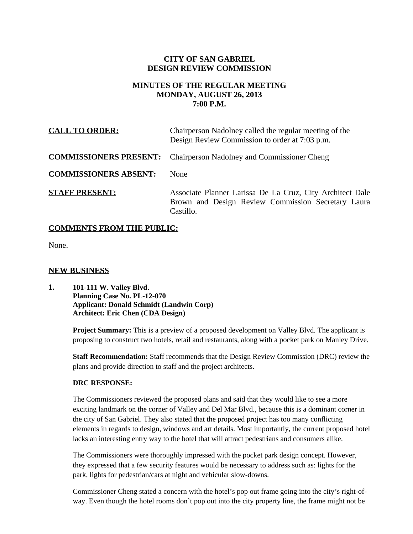## **CITY OF SAN GABRIEL DESIGN REVIEW COMMISSION**

# **MINUTES OF THE REGULAR MEETING MONDAY, AUGUST 26, 2013 7:00 P.M.**

| <b>CALL TO ORDER:</b>        | Chairperson Nadolney called the regular meeting of the<br>Design Review Commission to order at 7:03 p.m.                     |
|------------------------------|------------------------------------------------------------------------------------------------------------------------------|
|                              | <b>COMMISSIONERS PRESENT:</b> Chairperson Nadolney and Commissioner Cheng                                                    |
| <b>COMMISSIONERS ABSENT:</b> | <b>None</b>                                                                                                                  |
| <b>STAFF PRESENT:</b>        | Associate Planner Larissa De La Cruz, City Architect Dale<br>Brown and Design Review Commission Secretary Laura<br>Castillo. |

## **COMMENTS FROM THE PUBLIC:**

None.

## **NEW BUSINESS**

**1. 101-111 W. Valley Blvd. Planning Case No. PL-12-070 Applicant: Donald Schmidt (Landwin Corp) Architect: Eric Chen (CDA Design)**

> **Project Summary:** This is a preview of a proposed development on Valley Blvd. The applicant is proposing to construct two hotels, retail and restaurants, along with a pocket park on Manley Drive.

> **Staff Recommendation:** Staff recommends that the Design Review Commission (DRC) review the plans and provide direction to staff and the project architects.

#### **DRC RESPONSE:**

The Commissioners reviewed the proposed plans and said that they would like to see a more exciting landmark on the corner of Valley and Del Mar Blvd., because this is a dominant corner in the city of San Gabriel. They also stated that the proposed project has too many conflicting elements in regards to design, windows and art details. Most importantly, the current proposed hotel lacks an interesting entry way to the hotel that will attract pedestrians and consumers alike.

The Commissioners were thoroughly impressed with the pocket park design concept. However, they expressed that a few security features would be necessary to address such as: lights for the park, lights for pedestrian/cars at night and vehicular slow-downs.

Commissioner Cheng stated a concern with the hotel's pop out frame going into the city's right-ofway. Even though the hotel rooms don't pop out into the city property line, the frame might not be